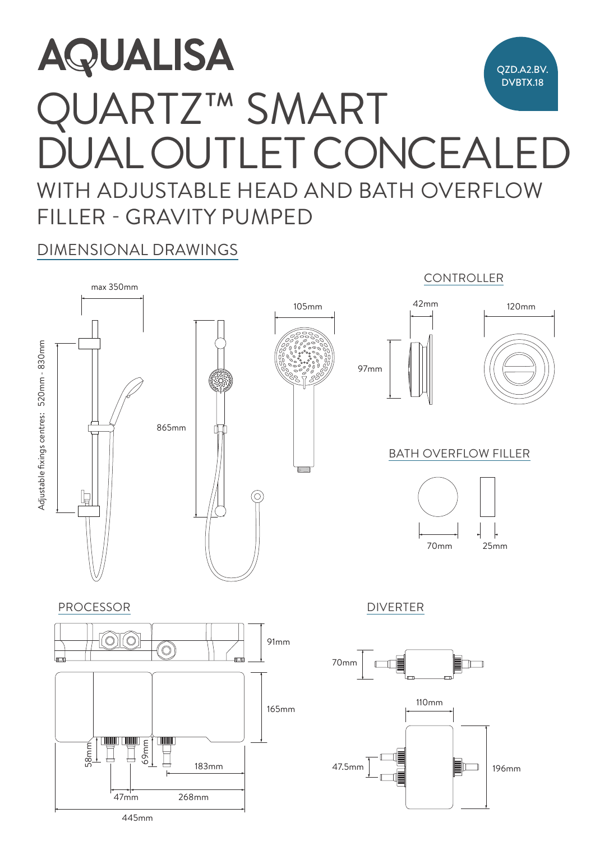## **AQUALISA** A<br>C<br>F<br>F QZD.A2.BV. DVBTX.18 QUARTZ™ SMART  $\blacksquare$ DUAL OUTLET CONCEALED  $\cap$   $\cap$   $\cap$   $\cap$  $\Delta$ I ()IIII  $\vdash$ I WITH ADJUSTABLE HEAD AND BATH OVERFLOW FILLER - GRAVITY PUMPED

DIMENSIONAL DRAWINGS



445mm 47mm 268mm

 $\frac{1}{\sqrt{2\pi}}\left(\frac{1}{\sqrt{2\pi}}\right)^{1/2}$  ,  $\frac{1}{\sqrt{2\pi}}\left(\frac{1}{\sqrt{2\pi}}\right)^{1/2}$  ,  $\frac{1}{\sqrt{2\pi}}\left(\frac{1}{\sqrt{2\pi}}\right)^{1/2}$  ,  $\frac{1}{\sqrt{2\pi}}\left(\frac{1}{\sqrt{2\pi}}\right)^{1/2}$  ,  $\frac{1}{\sqrt{2\pi}}\left(\frac{1}{\sqrt{2\pi}}\right)^{1/2}$  ,  $\frac{1}{\sqrt{2\pi}}\left(\frac{1}{\sqrt{2\pi$